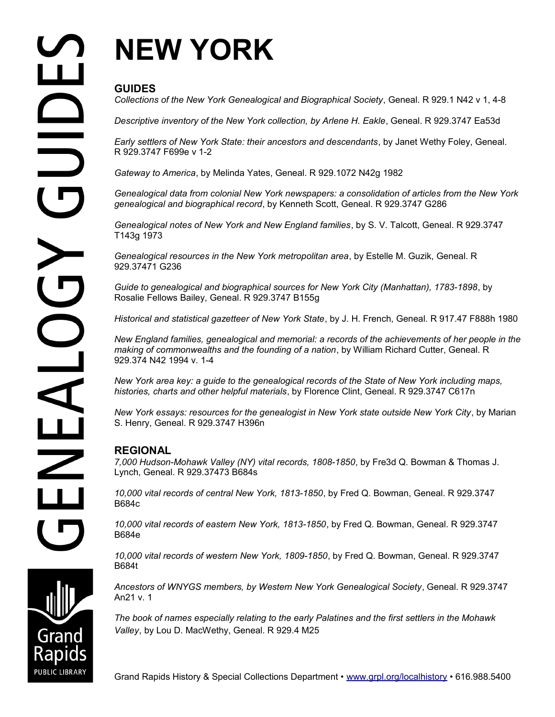# **NEW YORK**

## **GUIDES**

*Collections of the New York Genealogical and Biographical Society*, Geneal. R 929.1 N42 v 1, 4-8

*Descriptive inventory of the New York collection, by Arlene H. Eakle*, Geneal. R 929.3747 Ea53d

*Early settlers of New York State: their ancestors and descendants*, by Janet Wethy Foley, Geneal. R 929.3747 F699e v 1-2

*Gateway to America*, by Melinda Yates, Geneal. R 929.1072 N42g 1982

*Genealogical data from colonial New York newspapers: a consolidation of articles from the New York genealogical and biographical record*, by Kenneth Scott, Geneal. R 929.3747 G286

*Genealogical notes of New York and New England families*, by S. V. Talcott, Geneal. R 929.3747 T143g 1973

*Genealogical resources in the New York metropolitan area*, by Estelle M. Guzik, Geneal. R 929.37471 G236

*Guide to genealogical and biographical sources for New York City (Manhattan), 1783-1898*, by Rosalie Fellows Bailey, Geneal. R 929.3747 B155g

*Historical and statistical gazetteer of New York State*, by J. H. French, Geneal. R 917.47 F888h 1980

*New England families, genealogical and memorial: a records of the achievements of her people in the making of commonwealths and the founding of a nation*, by William Richard Cutter, Geneal. R 929.374 N42 1994 v. 1-4

*New York area key: a guide to the genealogical records of the State of New York including maps, histories, charts and other helpful materials*, by Florence Clint, Geneal. R 929.3747 C617n

*New York essays: resources for the genealogist in New York state outside New York City*, by Marian S. Henry, Geneal. R 929.3747 H396n

### **REGIONAL**

*7,000 Hudson-Mohawk Valley (NY) vital records, 1808-1850*, by Fre3d Q. Bowman & Thomas J. Lynch, Geneal. R 929.37473 B684s

*10,000 vital records of central New York, 1813-1850*, by Fred Q. Bowman, Geneal. R 929.3747 B684c

*10,000 vital records of eastern New York, 1813-1850*, by Fred Q. Bowman, Geneal. R 929.3747 B684e

*10,000 vital records of western New York, 1809-1850*, by Fred Q. Bowman, Geneal. R 929.3747 B684t

*Ancestors of WNYGS members, by Western New York Genealogical Society*, Geneal. R 929.3747 An21 v. 1

*The book of names especially relating to the early Palatines and the first settlers in the Mohawk Valley*, by Lou D. MacWethy, Geneal. R 929.4 M25

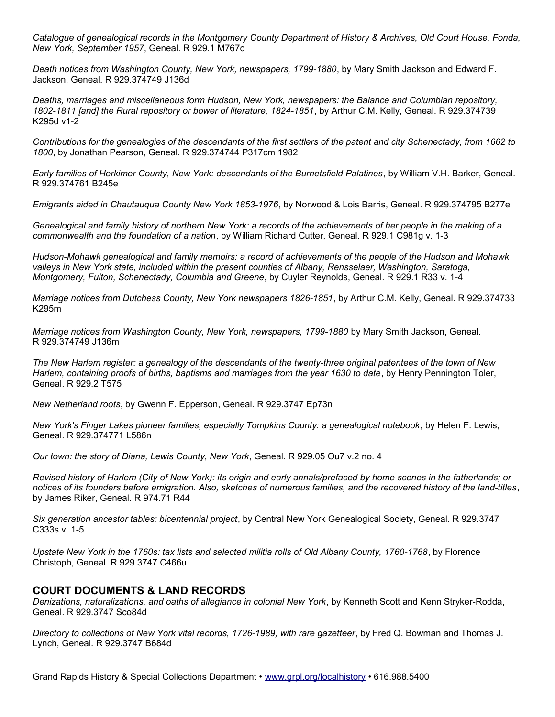*Catalogue of genealogical records in the Montgomery County Department of History & Archives, Old Court House, Fonda, New York, September 1957*, Geneal. R 929.1 M767c

*Death notices from Washington County, New York, newspapers, 1799-1880*, by Mary Smith Jackson and Edward F. Jackson, Geneal. R 929.374749 J136d

*Deaths, marriages and miscellaneous form Hudson, New York, newspapers: the Balance and Columbian repository, 1802-1811 [and] the Rural repository or bower of literature, 1824-1851*, by Arthur C.M. Kelly, Geneal. R 929.374739 K295d v1-2

*Contributions for the genealogies of the descendants of the first settlers of the patent and city Schenectady, from 1662 to 1800*, by Jonathan Pearson, Geneal. R 929.374744 P317cm 1982

*Early families of Herkimer County, New York: descendants of the Burnetsfield Palatines*, by William V.H. Barker, Geneal. R 929.374761 B245e

*Emigrants aided in Chautauqua County New York 1853-1976*, by Norwood & Lois Barris, Geneal. R 929.374795 B277e

*Genealogical and family history of northern New York: a records of the achievements of her people in the making of a commonwealth and the foundation of a nation*, by William Richard Cutter, Geneal. R 929.1 C981g v. 1-3

*Hudson-Mohawk genealogical and family memoirs: a record of achievements of the people of the Hudson and Mohawk valleys in New York state, included within the present counties of Albany, Rensselaer, Washington, Saratoga, Montgomery, Fulton, Schenectady, Columbia and Greene*, by Cuyler Reynolds, Geneal. R 929.1 R33 v. 1-4

*Marriage notices from Dutchess County, New York newspapers 1826-1851*, by Arthur C.M. Kelly, Geneal. R 929.374733 K295m

*Marriage notices from Washington County, New York, newspapers, 1799-1880* by Mary Smith Jackson, Geneal. R 929.374749 J136m

*The New Harlem register: a genealogy of the descendants of the twenty-three original patentees of the town of New Harlem, containing proofs of births, baptisms and marriages from the year 1630 to date*, by Henry Pennington Toler, Geneal. R 929.2 T575

*New Netherland roots*, by Gwenn F. Epperson, Geneal. R 929.3747 Ep73n

*New York's Finger Lakes pioneer families, especially Tompkins County: a genealogical notebook*, by Helen F. Lewis, Geneal. R 929.374771 L586n

*Our town: the story of Diana, Lewis County, New York*, Geneal. R 929.05 Ou7 v.2 no. 4

*Revised history of Harlem (City of New York): its origin and early annals/prefaced by home scenes in the fatherlands; or notices of its founders before emigration. Also, sketches of numerous families, and the recovered history of the land-titles*, by James Riker, Geneal. R 974.71 R44

*Six generation ancestor tables: bicentennial project*, by Central New York Genealogical Society, Geneal. R 929.3747 C333s v. 1-5

*Upstate New York in the 1760s: tax lists and selected militia rolls of Old Albany County, 1760-1768*, by Florence Christoph, Geneal. R 929.3747 C466u

#### **COURT DOCUMENTS & LAND RECORDS**

*Denizations, naturalizations, and oaths of allegiance in colonial New York*, by Kenneth Scott and Kenn Stryker-Rodda, Geneal. R 929.3747 Sco84d

*Directory to collections of New York vital records, 1726-1989, with rare gazetteer*, by Fred Q. Bowman and Thomas J. Lynch, Geneal. R 929.3747 B684d

Grand Rapids History & Special Collections Department • [www.grpl.org/localhistory](http://www.grpl.org/localhistory) • 616.988.5400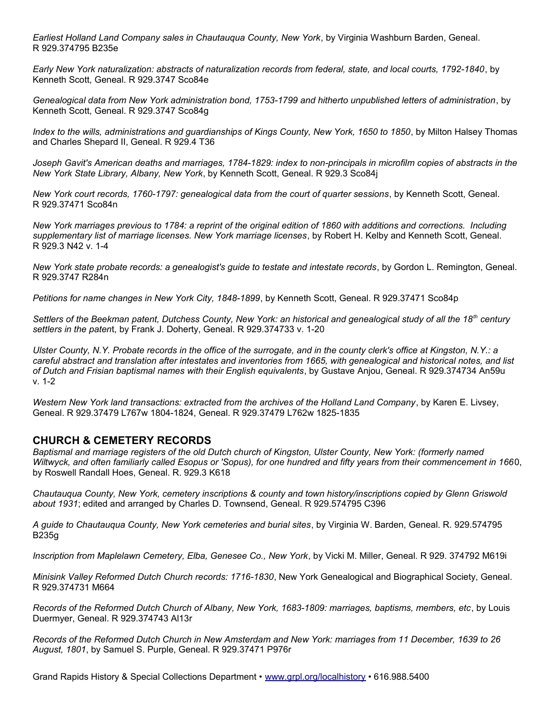*Earliest Holland Land Company sales in Chautauqua County, New York*, by Virginia Washburn Barden, Geneal. R 929.374795 B235e

*Early New York naturalization: abstracts of naturalization records from federal, state, and local courts, 1792-1840*, by Kenneth Scott, Geneal. R 929.3747 Sco84e

*Genealogical data from New York administration bond, 1753-1799 and hitherto unpublished letters of administration*, by Kenneth Scott, Geneal. R 929.3747 Sco84g

*Index to the wills, administrations and guardianships of Kings County, New York, 1650 to 1850*, by Milton Halsey Thomas and Charles Shepard II, Geneal. R 929.4 T36

Joseph Gavit's American deaths and marriages, 1784-1829: index to non-principals in microfilm copies of abstracts in the *New York State Library, Albany, New York*, by Kenneth Scott, Geneal. R 929.3 Sco84j

*New York court records, 1760-1797: genealogical data from the court of quarter sessions*, by Kenneth Scott, Geneal. R 929.37471 Sco84n

*New York marriages previous to 1784: a reprint of the original edition of 1860 with additions and corrections. Including supplementary list of marriage licenses. New York marriage licenses*, by Robert H. Kelby and Kenneth Scott, Geneal. R 929.3 N42 v. 1-4

*New York state probate records: a genealogist's guide to testate and intestate records*, by Gordon L. Remington, Geneal. R 929.3747 R284n

*Petitions for name changes in New York City, 1848-1899*, by Kenneth Scott, Geneal. R 929.37471 Sco84p

*Settlers of the Beekman patent, Dutchess County, New York: an historical and genealogical study of all the 18th century settlers in the paten*t, by Frank J. Doherty, Geneal. R 929.374733 v. 1-20

*Ulster County, N.Y. Probate records in the office of the surrogate, and in the county clerk's office at Kingston, N.Y.: a careful abstract and translation after intestates and inventories from 1665, with genealogical and historical notes, and list of Dutch and Frisian baptismal names with their English equivalents*, by Gustave Anjou, Geneal. R 929.374734 An59u v. 1-2

*Western New York land transactions: extracted from the archives of the Holland Land Company*, by Karen E. Livsey, Geneal. R 929.37479 L767w 1804-1824, Geneal. R 929.37479 L762w 1825-1835

#### **CHURCH & CEMETERY RECORDS**

*Baptismal and marriage registers of the old Dutch church of Kingston, Ulster County, New York: (formerly named Wiltwyck, and often familiarly called Esopus or 'Sopus), for one hundred and fifty years from their commencement in 166*0, by Roswell Randall Hoes, Geneal. R. 929.3 K618

*Chautauqua County, New York, cemetery inscriptions & county and town history/inscriptions copied by Glenn Griswold about 1931*; edited and arranged by Charles D. Townsend, Geneal. R 929.574795 C396

*A guide to Chautauqua County, New York cemeteries and burial sites*, by Virginia W. Barden, Geneal. R. 929.574795 B235g

*Inscription from Maplelawn Cemetery, Elba, Genesee Co., New York*, by Vicki M. Miller, Geneal. R 929. 374792 M619i

*Minisink Valley Reformed Dutch Church records: 1716-1830*, New York Genealogical and Biographical Society, Geneal. R 929.374731 M664

*Records of the Reformed Dutch Church of Albany, New York, 1683-1809: marriages, baptisms, members, etc*, by Louis Duermyer, Geneal. R 929.374743 Al13r

*Records of the Reformed Dutch Church in New Amsterdam and New York: marriages from 11 December, 1639 to 26 August, 1801*, by Samuel S. Purple, Geneal. R 929.37471 P976r

Grand Rapids History & Special Collections Department • [www.grpl.org/localhistory](http://www.grpl.org/localhistory) • 616.988.5400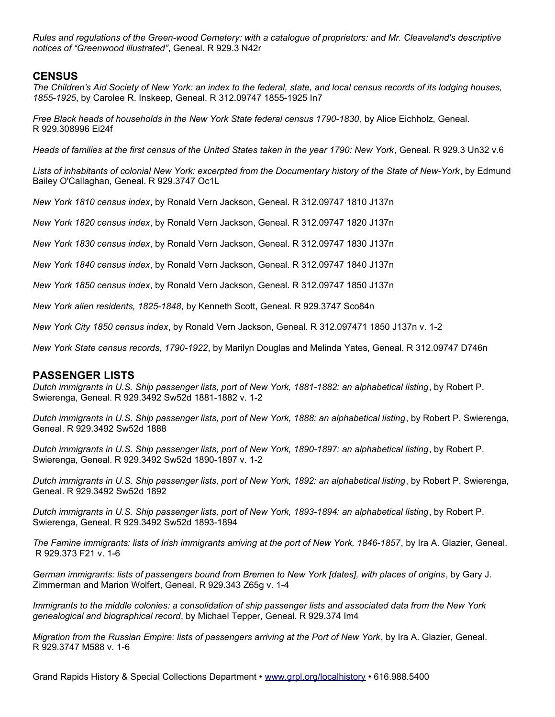*Rules and regulations of the Green-wood Cemetery: with a catalogue of proprietors: and Mr. Cleaveland's descriptive notices of "Greenwood illustrated"*, Geneal. R 929.3 N42r

#### **CENSUS**

*The Children's Aid Society of New York: an index to the federal, state, and local census records of its lodging houses, 1855-1925*, by Carolee R. Inskeep, Geneal. R 312.09747 1855-1925 In7

*Free Black heads of households in the New York State federal census 1790-1830*, by Alice Eichholz, Geneal. R 929.308996 Ei24f

*Heads of families at the first census of the United States taken in the year 1790: New York*, Geneal. R 929.3 Un32 v.6

*Lists of inhabitants of colonial New York: excerpted from the Documentary history of the State of New-York*, by Edmund Bailey O'Callaghan, Geneal. R 929.3747 Oc1L

*New York 1810 census index*, by Ronald Vern Jackson, Geneal. R 312.09747 1810 J137n

*New York 1820 census index*, by Ronald Vern Jackson, Geneal. R 312.09747 1820 J137n

*New York 1830 census index*, by Ronald Vern Jackson, Geneal. R 312.09747 1830 J137n

*New York 1840 census index*, by Ronald Vern Jackson, Geneal. R 312.09747 1840 J137n

*New York 1850 census index*, by Ronald Vern Jackson, Geneal. R 312.09747 1850 J137n

*New York alien residents, 1825-1848*, by Kenneth Scott, Geneal. R 929.3747 Sco84n

*New York City 1850 census index*, by Ronald Vern Jackson, Geneal. R 312.097471 1850 J137n v. 1-2

*New York State census records, 1790-1922*, by Marilyn Douglas and Melinda Yates, Geneal. R 312.09747 D746n

#### **PASSENGER LISTS**

*Dutch immigrants in U.S. Ship passenger lists, port of New York, 1881-1882: an alphabetical listing*, by Robert P. Swierenga, Geneal. R 929.3492 Sw52d 1881-1882 v. 1-2

*Dutch immigrants in U.S. Ship passenger lists, port of New York, 1888: an alphabetical listing*, by Robert P. Swierenga, Geneal. R 929.3492 Sw52d 1888

*Dutch immigrants in U.S. Ship passenger lists, port of New York, 1890-1897: an alphabetical listing*, by Robert P. Swierenga, Geneal. R 929.3492 Sw52d 1890-1897 v. 1-2

*Dutch immigrants in U.S. Ship passenger lists, port of New York, 1892: an alphabetical listing*, by Robert P. Swierenga, Geneal. R 929.3492 Sw52d 1892

*Dutch immigrants in U.S. Ship passenger lists, port of New York, 1893-1894: an alphabetical listing*, by Robert P. Swierenga, Geneal. R 929.3492 Sw52d 1893-1894

*The Famine immigrants: lists of Irish immigrants arriving at the port of New York, 1846-1857*, by Ira A. Glazier, Geneal. R 929.373 F21 v. 1-6

*German immigrants: lists of passengers bound from Bremen to New York [dates], with places of origins*, by Gary J. Zimmerman and Marion Wolfert, Geneal. R 929.343 Z65g v. 1-4

*Immigrants to the middle colonies: a consolidation of ship passenger lists and associated data from the New York genealogical and biographical record*, by Michael Tepper, Geneal. R 929.374 Im4

*Migration from the Russian Empire: lists of passengers arriving at the Port of New York*, by Ira A. Glazier, Geneal. R 929.3747 M588 v. 1-6

Grand Rapids History & Special Collections Department • [www.grpl.org/localhistory](http://www.grpl.org/localhistory) • 616.988.5400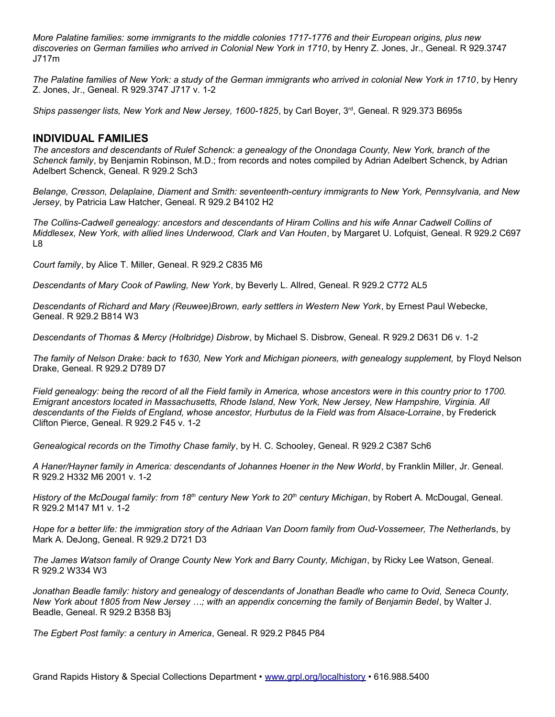*More Palatine families: some immigrants to the middle colonies 1717-1776 and their European origins, plus new discoveries on German families who arrived in Colonial New York in 1710*, by Henry Z. Jones, Jr., Geneal. R 929.3747 J717m

*The Palatine families of New York: a study of the German immigrants who arrived in colonial New York in 1710*, by Henry Z. Jones, Jr., Geneal. R 929.3747 J717 v. 1-2

Ships passenger lists, New York and New Jersey, 1600-1825, by Carl Boyer, 3<sup>rd</sup>, Geneal. R 929.373 B695s

#### **INDIVIDUAL FAMILIES**

*The ancestors and descendants of Rulef Schenck: a genealogy of the Onondaga County, New York, branch of the Schenck family*, by Benjamin Robinson, M.D.; from records and notes compiled by Adrian Adelbert Schenck, by Adrian Adelbert Schenck, Geneal. R 929.2 Sch3

*Belange, Cresson, Delaplaine, Diament and Smith: seventeenth-century immigrants to New York, Pennsylvania, and New Jersey*, by Patricia Law Hatcher, Geneal. R 929.2 B4102 H2

*The Collins-Cadwell genealogy: ancestors and descendants of Hiram Collins and his wife Annar Cadwell Collins of Middlesex, New York, with allied lines Underwood, Clark and Van Houten*, by Margaret U. Lofquist, Geneal. R 929.2 C697 L8

*Court family*, by Alice T. Miller, Geneal. R 929.2 C835 M6

*Descendants of Mary Cook of Pawling, New York*, by Beverly L. Allred, Geneal. R 929.2 C772 AL5

*Descendants of Richard and Mary (Reuwee)Brown, early settlers in Western New York*, by Ernest Paul Webecke, Geneal. R 929.2 B814 W3

*Descendants of Thomas & Mercy (Holbridge) Disbrow*, by Michael S. Disbrow, Geneal. R 929.2 D631 D6 v. 1-2

*The family of Nelson Drake: back to 1630, New York and Michigan pioneers, with genealogy supplement,* by Floyd Nelson Drake, Geneal. R 929.2 D789 D7

*Field genealogy: being the record of all the Field family in America, whose ancestors were in this country prior to 1700. Emigrant ancestors located in Massachusetts, Rhode Island, New York, New Jersey, New Hampshire, Virginia. All descendants of the Fields of England, whose ancestor, Hurbutus de la Field was from Alsace-Lorraine*, by Frederick Clifton Pierce, Geneal. R 929.2 F45 v. 1-2

*Genealogical records on the Timothy Chase family*, by H. C. Schooley, Geneal. R 929.2 C387 Sch6

*A Haner/Hayner family in America: descendants of Johannes Hoener in the New World*, by Franklin Miller, Jr. Geneal. R 929.2 H332 M6 2001 v. 1-2

*History of the McDougal family: from 18th century New York to 20th century Michigan*, by Robert A. McDougal, Geneal. R 929.2 M147 M1 v. 1-2

*Hope for a better life: the immigration story of the Adriaan Van Doorn family from Oud-Vossemeer, The Netherland*s, by Mark A. DeJong, Geneal. R 929.2 D721 D3

*The James Watson family of Orange County New York and Barry County, Michigan*, by Ricky Lee Watson, Geneal. R 929.2 W334 W3

*Jonathan Beadle family: history and genealogy of descendants of Jonathan Beadle who came to Ovid, Seneca County, New York about 1805 from New Jersey …; with an appendix concerning the family of Benjamin Bedel*, by Walter J. Beadle, Geneal. R 929.2 B358 B3j

*The Egbert Post family: a century in America*, Geneal. R 929.2 P845 P84